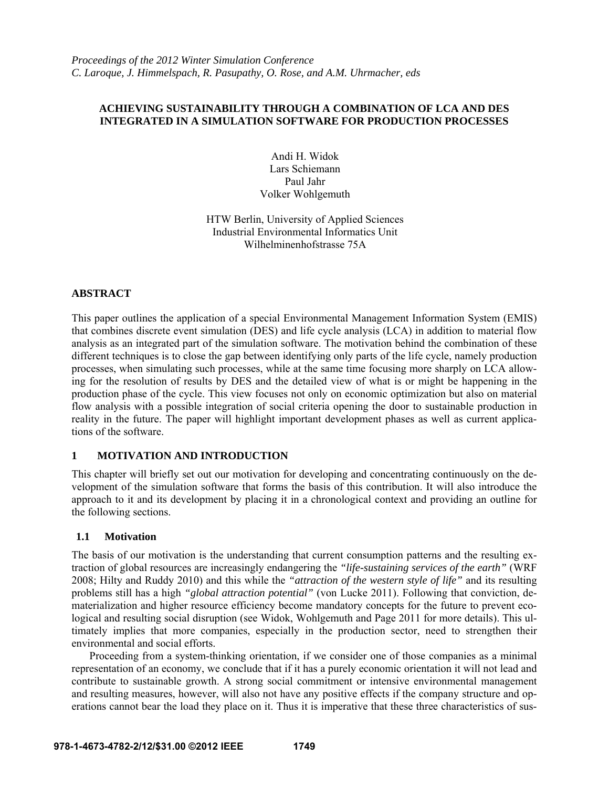# **ACHIEVING SUSTAINABILITY THROUGH A COMBINATION OF LCA AND DES INTEGRATED IN A SIMULATION SOFTWARE FOR PRODUCTION PROCESSES**

Andi H. Widok Lars Schiemann Paul Jahr Volker Wohlgemuth

HTW Berlin, University of Applied Sciences Industrial Environmental Informatics Unit Wilhelminenhofstrasse 75A

# **ABSTRACT**

This paper outlines the application of a special Environmental Management Information System (EMIS) that combines discrete event simulation (DES) and life cycle analysis (LCA) in addition to material flow analysis as an integrated part of the simulation software. The motivation behind the combination of these different techniques is to close the gap between identifying only parts of the life cycle, namely production processes, when simulating such processes, while at the same time focusing more sharply on LCA allowing for the resolution of results by DES and the detailed view of what is or might be happening in the production phase of the cycle. This view focuses not only on economic optimization but also on material flow analysis with a possible integration of social criteria opening the door to sustainable production in reality in the future. The paper will highlight important development phases as well as current applications of the software.

# **1 MOTIVATION AND INTRODUCTION**

This chapter will briefly set out our motivation for developing and concentrating continuously on the development of the simulation software that forms the basis of this contribution. It will also introduce the approach to it and its development by placing it in a chronological context and providing an outline for the following sections.

# **1.1 Motivation**

The basis of our motivation is the understanding that current consumption patterns and the resulting extraction of global resources are increasingly endangering the *"life-sustaining services of the earth"* (WRF 2008; Hilty and Ruddy 2010) and this while the *"attraction of the western style of life"* and its resulting problems still has a high *"global attraction potential"* (von Lucke 2011). Following that conviction, dematerialization and higher resource efficiency become mandatory concepts for the future to prevent ecological and resulting social disruption (see Widok, Wohlgemuth and Page 2011 for more details). This ultimately implies that more companies, especially in the production sector, need to strengthen their environmental and social efforts.

Proceeding from a system-thinking orientation, if we consider one of those companies as a minimal representation of an economy, we conclude that if it has a purely economic orientation it will not lead and contribute to sustainable growth. A strong social commitment or intensive environmental management and resulting measures, however, will also not have any positive effects if the company structure and operations cannot bear the load they place on it. Thus it is imperative that these three characteristics of sus-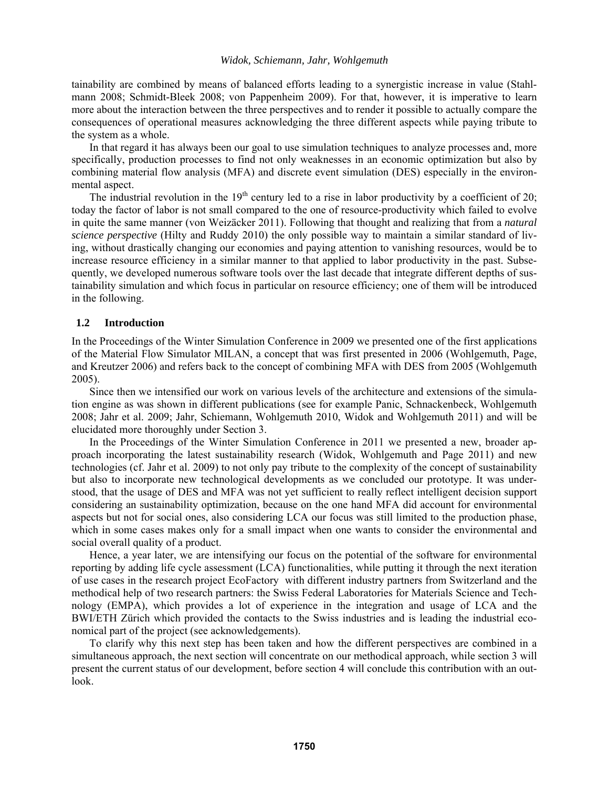tainability are combined by means of balanced efforts leading to a synergistic increase in value (Stahlmann 2008; Schmidt-Bleek 2008; von Pappenheim 2009). For that, however, it is imperative to learn more about the interaction between the three perspectives and to render it possible to actually compare the consequences of operational measures acknowledging the three different aspects while paying tribute to the system as a whole.

In that regard it has always been our goal to use simulation techniques to analyze processes and, more specifically, production processes to find not only weaknesses in an economic optimization but also by combining material flow analysis (MFA) and discrete event simulation (DES) especially in the environmental aspect.

The industrial revolution in the  $19<sup>th</sup>$  century led to a rise in labor productivity by a coefficient of 20; today the factor of labor is not small compared to the one of resource-productivity which failed to evolve in quite the same manner (von Weizäcker 2011). Following that thought and realizing that from a *natural science perspective* (Hilty and Ruddy 2010) the only possible way to maintain a similar standard of living, without drastically changing our economies and paying attention to vanishing resources, would be to increase resource efficiency in a similar manner to that applied to labor productivity in the past. Subsequently, we developed numerous software tools over the last decade that integrate different depths of sustainability simulation and which focus in particular on resource efficiency; one of them will be introduced in the following.

## **1.2 Introduction**

In the Proceedings of the Winter Simulation Conference in 2009 we presented one of the first applications of the Material Flow Simulator MILAN, a concept that was first presented in 2006 (Wohlgemuth, Page, and Kreutzer 2006) and refers back to the concept of combining MFA with DES from 2005 (Wohlgemuth 2005).

Since then we intensified our work on various levels of the architecture and extensions of the simulation engine as was shown in different publications (see for example Panic, Schnackenbeck, Wohlgemuth 2008; Jahr et al. 2009; Jahr, Schiemann, Wohlgemuth 2010, Widok and Wohlgemuth 2011) and will be elucidated more thoroughly under Section 3.

In the Proceedings of the Winter Simulation Conference in 2011 we presented a new, broader approach incorporating the latest sustainability research (Widok, Wohlgemuth and Page 2011) and new technologies (cf. Jahr et al. 2009) to not only pay tribute to the complexity of the concept of sustainability but also to incorporate new technological developments as we concluded our prototype. It was understood, that the usage of DES and MFA was not yet sufficient to really reflect intelligent decision support considering an sustainability optimization, because on the one hand MFA did account for environmental aspects but not for social ones, also considering LCA our focus was still limited to the production phase, which in some cases makes only for a small impact when one wants to consider the environmental and social overall quality of a product.

Hence, a year later, we are intensifying our focus on the potential of the software for environmental reporting by adding life cycle assessment (LCA) functionalities, while putting it through the next iteration of use cases in the research project EcoFactory with different industry partners from Switzerland and the methodical help of two research partners: the Swiss Federal Laboratories for Materials Science and Technology (EMPA), which provides a lot of experience in the integration and usage of LCA and the BWI/ETH Zürich which provided the contacts to the Swiss industries and is leading the industrial economical part of the project (see acknowledgements).

To clarify why this next step has been taken and how the different perspectives are combined in a simultaneous approach, the next section will concentrate on our methodical approach, while section 3 will present the current status of our development, before section 4 will conclude this contribution with an outlook.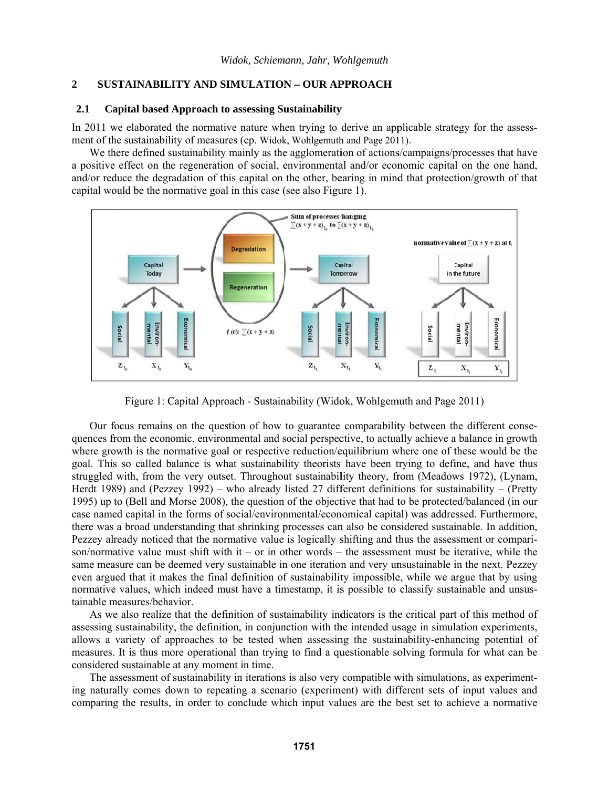## **2** SUSTAINABILITY AND SIMULATION – OUR APPROACH

### 2.1 Capital based Approach to assessing Sustainability

In 2011 we elaborated the normative nature when trying to derive an applicable strategy for the assessment of the sustainability of measures (cp. Widok, Wohlgemuth and Page 2011).

We there defined sustainability mainly as the agglomeration of actions/campaigns/processes that have a positive effect on the regeneration of social, environmental and/or economic capital on the one hand, and/or reduce the degradation of this capital on the other, bearing in mind that protection/growth of that capital would be the normative goal in this case (see also Figure 1).



Figure 1: Capital Approach - Sustainability (Widok, Wohlgemuth and Page 2011)

Our focus remains on the question of how to guarantee comparability between the different consequences from the economic, environmental and social perspective, to actually achieve a balance in growth where growth is the normative goal or respective reduction/equilibrium where one of these would be the goal. This so called balance is what sustainability theorists have been trying to define, and have thus struggled with, from the very outset. Throughout sustainability theory, from (Meadows 1972), (Lynam, Herdt 1989) and (Pezzey 1992) – who already listed 27 different definitions for sustainability – (Pretty 1995) up to (Bell and Morse 2008), the question of the objective that had to be protected/balanced (in our case named capital in the forms of social/environmental/economical capital) was addressed. Furthermore, there was a broad understanding that shrinking processes can also be considered sustainable. In addition, Pezzey already noticed that the normative value is logically shifting and thus the assessment or comparison/normative value must shift with it – or in other words – the assessment must be iterative, while the same measure can be deemed very sustainable in one iteration and very unsustainable in the next. Pezzey even argued that it makes the final definition of sustainability impossible, while we argue that by using normative values, which indeed must have a timestamp, it is possible to classify sustainable and unsustainable measures/behavior.

As we also realize that the definition of sustainability indicators is the critical part of this method of assessing sustainability, the definition, in conjunction with the intended usage in simulation experiments, allows a variety of approaches to be tested when assessing the sustainability-enhancing potential of measures. It is thus more operational than trying to find a questionable solving formula for what can be considered sustainable at any moment in time.

The assessment of sustainability in iterations is also very compatible with simulations, as experimenting naturally comes down to repeating a scenario (experiment) with different sets of input values and comparing the results, in order to conclude which input values are the best set to achieve a normative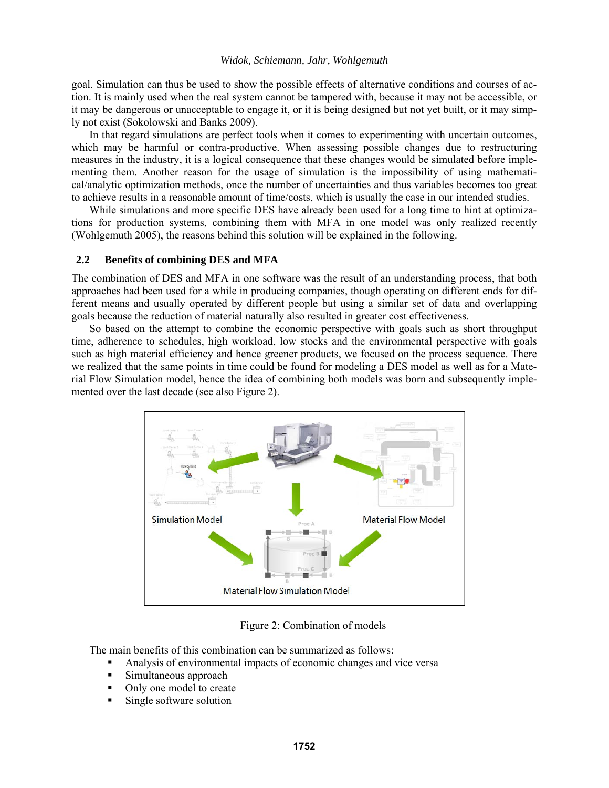goal. Simulation can thus be used to show the possible effects of alternative conditions and courses of action. It is mainly used when the real system cannot be tampered with, because it may not be accessible, or it may be dangerous or unacceptable to engage it, or it is being designed but not yet built, or it may simply not exist (Sokolowski and Banks 2009).

In that regard simulations are perfect tools when it comes to experimenting with uncertain outcomes, which may be harmful or contra-productive. When assessing possible changes due to restructuring measures in the industry, it is a logical consequence that these changes would be simulated before implementing them. Another reason for the usage of simulation is the impossibility of using mathematical/analytic optimization methods, once the number of uncertainties and thus variables becomes too great to achieve results in a reasonable amount of time/costs, which is usually the case in our intended studies.

While simulations and more specific DES have already been used for a long time to hint at optimizations for production systems, combining them with MFA in one model was only realized recently (Wohlgemuth 2005), the reasons behind this solution will be explained in the following.

## **2.2 Benefits of combining DES and MFA**

The combination of DES and MFA in one software was the result of an understanding process, that both approaches had been used for a while in producing companies, though operating on different ends for different means and usually operated by different people but using a similar set of data and overlapping goals because the reduction of material naturally also resulted in greater cost effectiveness.

So based on the attempt to combine the economic perspective with goals such as short throughput time, adherence to schedules, high workload, low stocks and the environmental perspective with goals such as high material efficiency and hence greener products, we focused on the process sequence. There we realized that the same points in time could be found for modeling a DES model as well as for a Material Flow Simulation model, hence the idea of combining both models was born and subsequently implemented over the last decade (see also Figure 2).



Figure 2: Combination of models

The main benefits of this combination can be summarized as follows:

- Analysis of environmental impacts of economic changes and vice versa
- Simultaneous approach
- Only one model to create
- Single software solution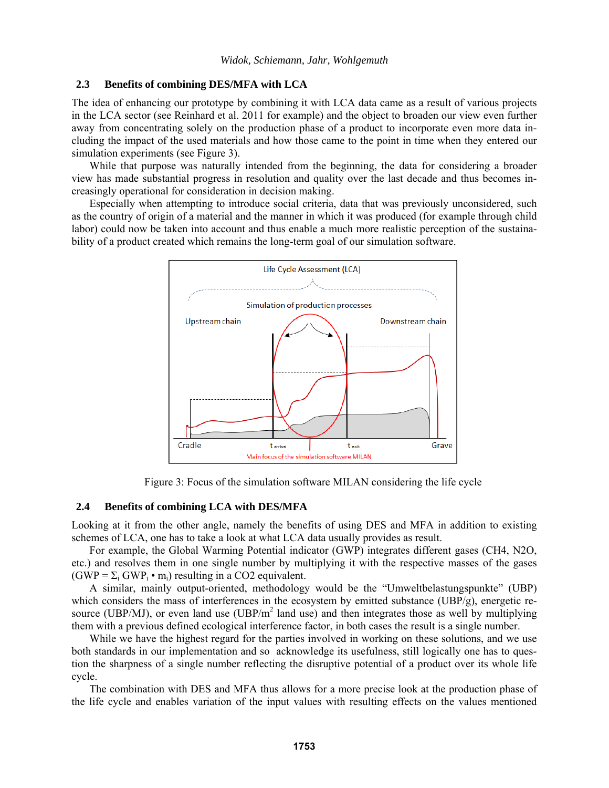## **2.3 Benefits of combining DES/MFA with LCA**

The idea of enhancing our prototype by combining it with LCA data came as a result of various projects in the LCA sector (see Reinhard et al. 2011 for example) and the object to broaden our view even further away from concentrating solely on the production phase of a product to incorporate even more data including the impact of the used materials and how those came to the point in time when they entered our simulation experiments (see Figure 3).

While that purpose was naturally intended from the beginning, the data for considering a broader view has made substantial progress in resolution and quality over the last decade and thus becomes increasingly operational for consideration in decision making.

Especially when attempting to introduce social criteria, data that was previously unconsidered, such as the country of origin of a material and the manner in which it was produced (for example through child labor) could now be taken into account and thus enable a much more realistic perception of the sustainability of a product created which remains the long-term goal of our simulation software.



Figure 3: Focus of the simulation software MILAN considering the life cycle

### **2.4 Benefits of combining LCA with DES/MFA**

Looking at it from the other angle, namely the benefits of using DES and MFA in addition to existing schemes of LCA, one has to take a look at what LCA data usually provides as result.

For example, the Global Warming Potential indicator (GWP) integrates different gases (CH4, N2O, etc.) and resolves them in one single number by multiplying it with the respective masses of the gases  $(GWP = \Sigma_i GWP_i \cdot m_i)$  resulting in a CO2 equivalent.

A similar, mainly output-oriented, methodology would be the "Umweltbelastungspunkte" (UBP) which considers the mass of interferences in the ecosystem by emitted substance (UBP/g), energetic resource (UBP/MJ), or even land use (UBP/ $m^2$  land use) and then integrates those as well by multiplying them with a previous defined ecological interference factor, in both cases the result is a single number.

While we have the highest regard for the parties involved in working on these solutions, and we use both standards in our implementation and so acknowledge its usefulness, still logically one has to question the sharpness of a single number reflecting the disruptive potential of a product over its whole life cycle.

The combination with DES and MFA thus allows for a more precise look at the production phase of the life cycle and enables variation of the input values with resulting effects on the values mentioned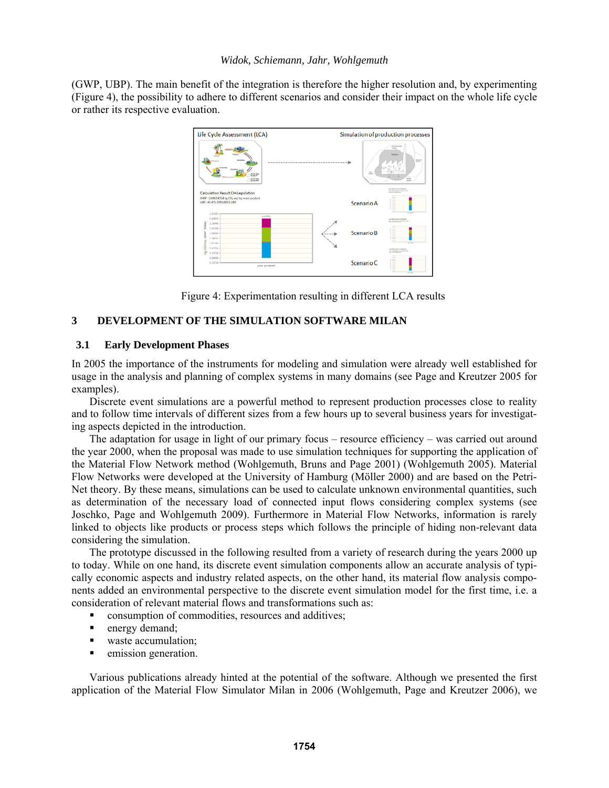(GWP, UBP). The main benefit of the integration is therefore the higher resolution and, by experimenting (Figure 4), the possibility to adhere to different scenarios and consider their impact on the whole life cycle or rather its respective evaluation.



Figure 4: Experimentation resulting in different LCA results

# **3 DEVELOPMENT OF THE SIMULATION SOFTWARE MILAN**

# **3.1 Early Development Phases**

In 2005 the importance of the instruments for modeling and simulation were already well established for usage in the analysis and planning of complex systems in many domains (see Page and Kreutzer 2005 for examples).

Discrete event simulations are a powerful method to represent production processes close to reality and to follow time intervals of different sizes from a few hours up to several business years for investigating aspects depicted in the introduction.

The adaptation for usage in light of our primary focus – resource efficiency – was carried out around the year 2000, when the proposal was made to use simulation techniques for supporting the application of the Material Flow Network method (Wohlgemuth, Bruns and Page 2001) (Wohlgemuth 2005). Material Flow Networks were developed at the University of Hamburg (Möller 2000) and are based on the Petri-Net theory. By these means, simulations can be used to calculate unknown environmental quantities, such as determination of the necessary load of connected input flows considering complex systems (see Joschko, Page and Wohlgemuth 2009). Furthermore in Material Flow Networks, information is rarely linked to objects like products or process steps which follows the principle of hiding non-relevant data considering the simulation.

The prototype discussed in the following resulted from a variety of research during the years 2000 up to today. While on one hand, its discrete event simulation components allow an accurate analysis of typically economic aspects and industry related aspects, on the other hand, its material flow analysis components added an environmental perspective to the discrete event simulation model for the first time, i.e. a consideration of relevant material flows and transformations such as:

- consumption of commodities, resources and additives;
- **energy demand;**
- waste accumulation;
- **emission generation.**

Various publications already hinted at the potential of the software. Although we presented the first application of the Material Flow Simulator Milan in 2006 (Wohlgemuth, Page and Kreutzer 2006), we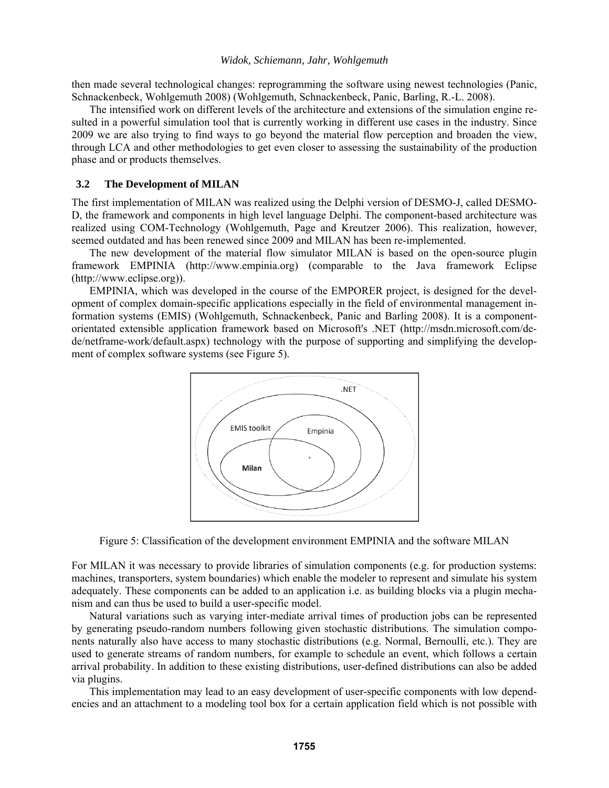then made several technological changes: reprogramming the software using newest technologies (Panic, Schnackenbeck, Wohlgemuth 2008) (Wohlgemuth, Schnackenbeck, Panic, Barling, R.-L. 2008).

The intensified work on different levels of the architecture and extensions of the simulation engine resulted in a powerful simulation tool that is currently working in different use cases in the industry. Since 2009 we are also trying to find ways to go beyond the material flow perception and broaden the view, through LCA and other methodologies to get even closer to assessing the sustainability of the production phase and or products themselves.

### **3.2 The Development of MILAN**

The first implementation of MILAN was realized using the Delphi version of DESMO-J, called DESMO-D, the framework and components in high level language Delphi. The component-based architecture was realized using COM-Technology (Wohlgemuth, Page and Kreutzer 2006). This realization, however, seemed outdated and has been renewed since 2009 and MILAN has been re-implemented.

The new development of the material flow simulator MILAN is based on the open-source plugin framework EMPINIA (http://www.empinia.org) (comparable to the Java framework Eclipse (http://www.eclipse.org)).

EMPINIA, which was developed in the course of the EMPORER project, is designed for the development of complex domain-specific applications especially in the field of environmental management information systems (EMIS) (Wohlgemuth, Schnackenbeck, Panic and Barling 2008). It is a componentorientated extensible application framework based on Microsoft's .NET (http://msdn.microsoft.com/dede/netframe-work/default.aspx) technology with the purpose of supporting and simplifying the development of complex software systems (see Figure 5).



Figure 5: Classification of the development environment EMPINIA and the software MILAN

For MILAN it was necessary to provide libraries of simulation components (e.g. for production systems: machines, transporters, system boundaries) which enable the modeler to represent and simulate his system adequately. These components can be added to an application i.e. as building blocks via a plugin mechanism and can thus be used to build a user-specific model.

Natural variations such as varying inter-mediate arrival times of production jobs can be represented by generating pseudo-random numbers following given stochastic distributions. The simulation components naturally also have access to many stochastic distributions (e.g. Normal, Bernoulli, etc.). They are used to generate streams of random numbers, for example to schedule an event, which follows a certain arrival probability. In addition to these existing distributions, user-defined distributions can also be added via plugins.

This implementation may lead to an easy development of user-specific components with low dependencies and an attachment to a modeling tool box for a certain application field which is not possible with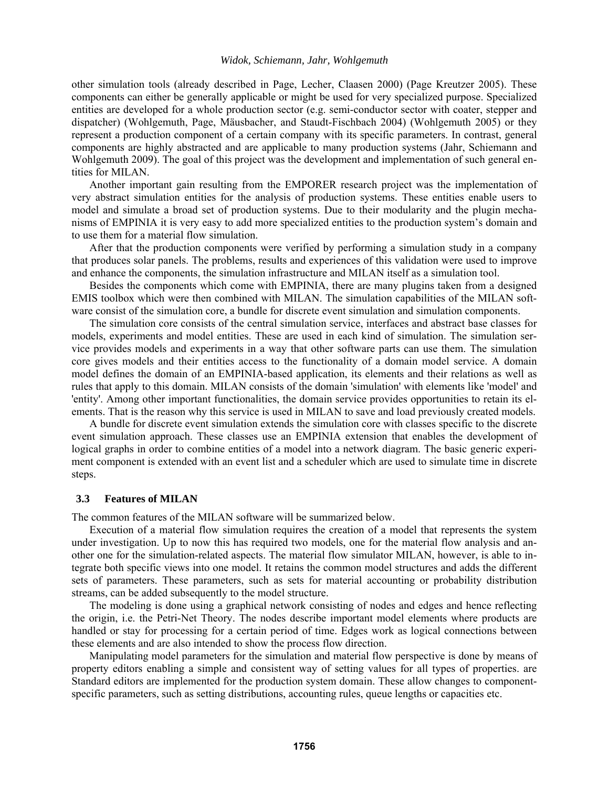other simulation tools (already described in Page, Lecher, Claasen 2000) (Page Kreutzer 2005). These components can either be generally applicable or might be used for very specialized purpose. Specialized entities are developed for a whole production sector (e.g. semi-conductor sector with coater, stepper and dispatcher) (Wohlgemuth, Page, Mäusbacher, and Staudt-Fischbach 2004) (Wohlgemuth 2005) or they represent a production component of a certain company with its specific parameters. In contrast, general components are highly abstracted and are applicable to many production systems (Jahr, Schiemann and Wohlgemuth 2009). The goal of this project was the development and implementation of such general entities for MILAN.

Another important gain resulting from the EMPORER research project was the implementation of very abstract simulation entities for the analysis of production systems. These entities enable users to model and simulate a broad set of production systems. Due to their modularity and the plugin mechanisms of EMPINIA it is very easy to add more specialized entities to the production system's domain and to use them for a material flow simulation.

After that the production components were verified by performing a simulation study in a company that produces solar panels. The problems, results and experiences of this validation were used to improve and enhance the components, the simulation infrastructure and MILAN itself as a simulation tool.

Besides the components which come with EMPINIA, there are many plugins taken from a designed EMIS toolbox which were then combined with MILAN. The simulation capabilities of the MILAN software consist of the simulation core, a bundle for discrete event simulation and simulation components.

The simulation core consists of the central simulation service, interfaces and abstract base classes for models, experiments and model entities. These are used in each kind of simulation. The simulation service provides models and experiments in a way that other software parts can use them. The simulation core gives models and their entities access to the functionality of a domain model service. A domain model defines the domain of an EMPINIA-based application, its elements and their relations as well as rules that apply to this domain. MILAN consists of the domain 'simulation' with elements like 'model' and 'entity'. Among other important functionalities, the domain service provides opportunities to retain its elements. That is the reason why this service is used in MILAN to save and load previously created models.

A bundle for discrete event simulation extends the simulation core with classes specific to the discrete event simulation approach. These classes use an EMPINIA extension that enables the development of logical graphs in order to combine entities of a model into a network diagram. The basic generic experiment component is extended with an event list and a scheduler which are used to simulate time in discrete steps.

### **3.3 Features of MILAN**

The common features of the MILAN software will be summarized below.

Execution of a material flow simulation requires the creation of a model that represents the system under investigation. Up to now this has required two models, one for the material flow analysis and another one for the simulation-related aspects. The material flow simulator MILAN, however, is able to integrate both specific views into one model. It retains the common model structures and adds the different sets of parameters. These parameters, such as sets for material accounting or probability distribution streams, can be added subsequently to the model structure.

The modeling is done using a graphical network consisting of nodes and edges and hence reflecting the origin, i.e. the Petri-Net Theory. The nodes describe important model elements where products are handled or stay for processing for a certain period of time. Edges work as logical connections between these elements and are also intended to show the process flow direction.

Manipulating model parameters for the simulation and material flow perspective is done by means of property editors enabling a simple and consistent way of setting values for all types of properties. are Standard editors are implemented for the production system domain. These allow changes to componentspecific parameters, such as setting distributions, accounting rules, queue lengths or capacities etc.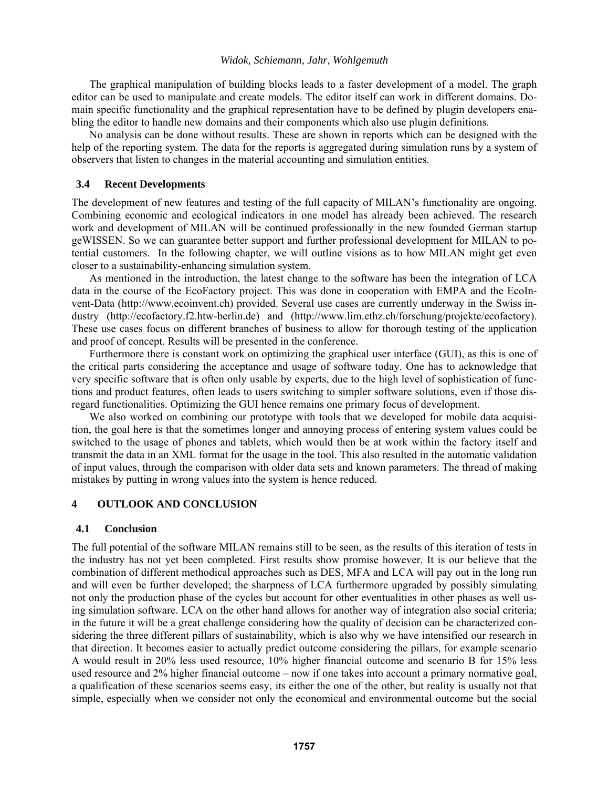The graphical manipulation of building blocks leads to a faster development of a model. The graph editor can be used to manipulate and create models. The editor itself can work in different domains. Domain specific functionality and the graphical representation have to be defined by plugin developers enabling the editor to handle new domains and their components which also use plugin definitions.

No analysis can be done without results. These are shown in reports which can be designed with the help of the reporting system. The data for the reports is aggregated during simulation runs by a system of observers that listen to changes in the material accounting and simulation entities.

### **3.4 Recent Developments**

The development of new features and testing of the full capacity of MILAN's functionality are ongoing. Combining economic and ecological indicators in one model has already been achieved. The research work and development of MILAN will be continued professionally in the new founded German startup geWISSEN. So we can guarantee better support and further professional development for MILAN to potential customers. In the following chapter, we will outline visions as to how MILAN might get even closer to a sustainability-enhancing simulation system.

As mentioned in the introduction, the latest change to the software has been the integration of LCA data in the course of the EcoFactory project. This was done in cooperation with EMPA and the EcoInvent-Data (http://www.ecoinvent.ch) provided. Several use cases are currently underway in the Swiss industry (http://ecofactory.f2.htw-berlin.de) and (http://www.lim.ethz.ch/forschung/projekte/ecofactory). These use cases focus on different branches of business to allow for thorough testing of the application and proof of concept. Results will be presented in the conference.

Furthermore there is constant work on optimizing the graphical user interface (GUI), as this is one of the critical parts considering the acceptance and usage of software today. One has to acknowledge that very specific software that is often only usable by experts, due to the high level of sophistication of functions and product features, often leads to users switching to simpler software solutions, even if those disregard functionalities. Optimizing the GUI hence remains one primary focus of development.

We also worked on combining our prototype with tools that we developed for mobile data acquisition, the goal here is that the sometimes longer and annoying process of entering system values could be switched to the usage of phones and tablets, which would then be at work within the factory itself and transmit the data in an XML format for the usage in the tool. This also resulted in the automatic validation of input values, through the comparison with older data sets and known parameters. The thread of making mistakes by putting in wrong values into the system is hence reduced.

## **4 OUTLOOK AND CONCLUSION**

### **4.1 Conclusion**

The full potential of the software MILAN remains still to be seen, as the results of this iteration of tests in the industry has not yet been completed. First results show promise however. It is our believe that the combination of different methodical approaches such as DES, MFA and LCA will pay out in the long run and will even be further developed; the sharpness of LCA furthermore upgraded by possibly simulating not only the production phase of the cycles but account for other eventualities in other phases as well using simulation software. LCA on the other hand allows for another way of integration also social criteria; in the future it will be a great challenge considering how the quality of decision can be characterized considering the three different pillars of sustainability, which is also why we have intensified our research in that direction. It becomes easier to actually predict outcome considering the pillars, for example scenario A would result in 20% less used resource, 10% higher financial outcome and scenario B for 15% less used resource and 2% higher financial outcome – now if one takes into account a primary normative goal, a qualification of these scenarios seems easy, its either the one of the other, but reality is usually not that simple, especially when we consider not only the economical and environmental outcome but the social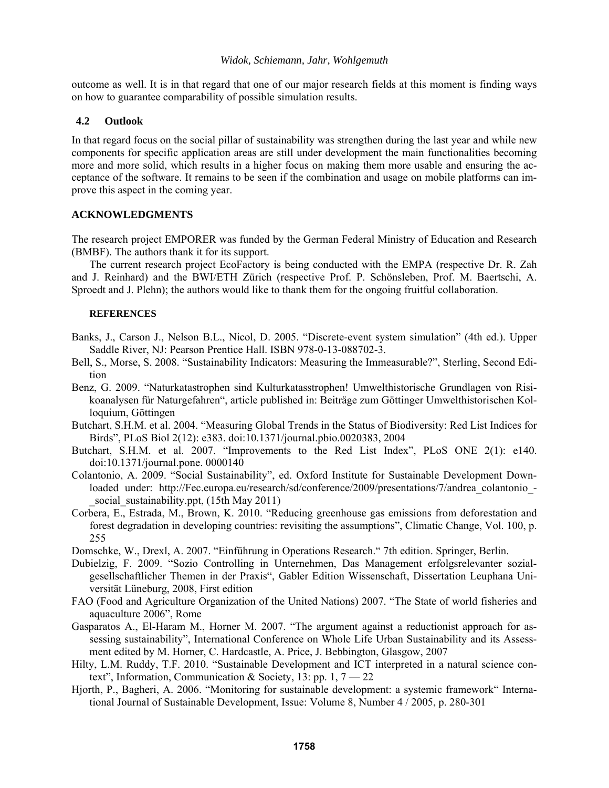outcome as well. It is in that regard that one of our major research fields at this moment is finding ways on how to guarantee comparability of possible simulation results.

## **4.2 Outlook**

In that regard focus on the social pillar of sustainability was strengthen during the last year and while new components for specific application areas are still under development the main functionalities becoming more and more solid, which results in a higher focus on making them more usable and ensuring the acceptance of the software. It remains to be seen if the combination and usage on mobile platforms can improve this aspect in the coming year.

## **ACKNOWLEDGMENTS**

The research project EMPORER was funded by the German Federal Ministry of Education and Research (BMBF). The authors thank it for its support.

The current research project EcoFactory is being conducted with the EMPA (respective Dr. R. Zah and J. Reinhard) and the BWI/ETH Zürich (respective Prof. P. Schönsleben, Prof. M. Baertschi, A. Sproedt and J. Plehn); the authors would like to thank them for the ongoing fruitful collaboration.

## **REFERENCES**

- Banks, J., Carson J., Nelson B.L., Nicol, D. 2005. "Discrete-event system simulation" (4th ed.). Upper Saddle River, NJ: Pearson Prentice Hall. ISBN 978-0-13-088702-3.
- Bell, S., Morse, S. 2008. "Sustainability Indicators: Measuring the Immeasurable?", Sterling, Second Edition
- Benz, G. 2009. "Naturkatastrophen sind Kulturkatasstrophen! Umwelthistorische Grundlagen von Risikoanalysen für Naturgefahren", article published in: Beiträge zum Göttinger Umwelthistorischen Kolloquium, Göttingen
- Butchart, S.H.M. et al. 2004. "Measuring Global Trends in the Status of Biodiversity: Red List Indices for Birds", PLoS Biol 2(12): e383. doi:10.1371/journal.pbio.0020383, 2004
- Butchart, S.H.M. et al. 2007. "Improvements to the Red List Index", PLoS ONE 2(1): e140. doi:10.1371/journal.pone. 0000140
- Colantonio, A. 2009. "Social Sustainability", ed. Oxford Institute for Sustainable Development Downloaded under: http://Fec.europa.eu/research/sd/conference/2009/presentations/7/andrea colantonio social sustainability.ppt, (15th May 2011)
- Corbera, E., Estrada, M., Brown, K. 2010. "Reducing greenhouse gas emissions from deforestation and forest degradation in developing countries: revisiting the assumptions", Climatic Change, Vol. 100, p. 255
- Domschke, W., Drexl, A. 2007. "Einführung in Operations Research." 7th edition. Springer, Berlin.
- Dubielzig, F. 2009. "Sozio Controlling in Unternehmen, Das Management erfolgsrelevanter sozialgesellschaftlicher Themen in der Praxis", Gabler Edition Wissenschaft, Dissertation Leuphana Universität Lüneburg, 2008, First edition
- FAO (Food and Agriculture Organization of the United Nations) 2007. "The State of world fisheries and aquaculture 2006", Rome
- Gasparatos A., El-Haram M., Horner M. 2007. "The argument against a reductionist approach for assessing sustainability", International Conference on Whole Life Urban Sustainability and its Assessment edited by M. Horner, C. Hardcastle, A. Price, J. Bebbington, Glasgow, 2007
- Hilty, L.M. Ruddy, T.F. 2010. "Sustainable Development and ICT interpreted in a natural science context", Information, Communication & Society, 13: pp. 1,  $7 - 22$
- Hjorth, P., Bagheri, A. 2006. "Monitoring for sustainable development: a systemic framework" International Journal of Sustainable Development, Issue: Volume 8, Number 4 / 2005, p. 280-301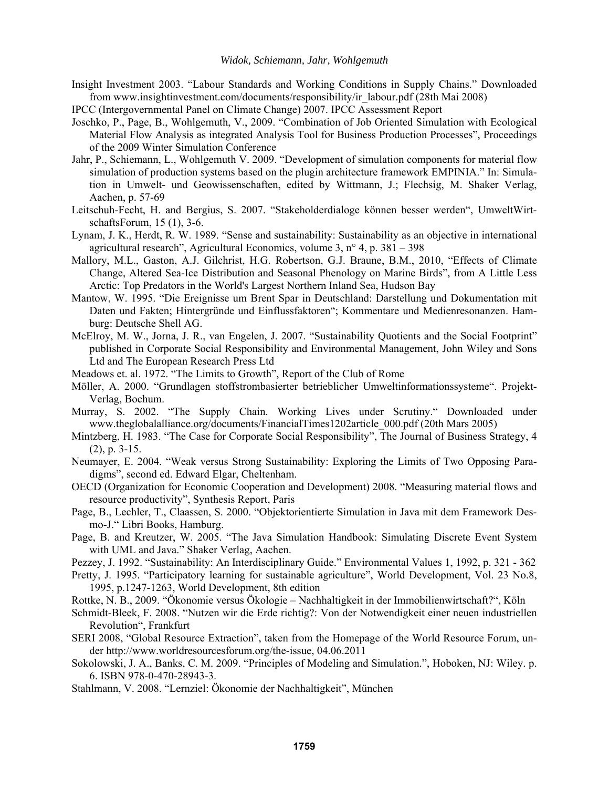- Insight Investment 2003. "Labour Standards and Working Conditions in Supply Chains." Downloaded from www.insightinvestment.com/documents/responsibility/ir\_labour.pdf (28th Mai 2008)
- IPCC (Intergovernmental Panel on Climate Change) 2007. IPCC Assessment Report
- Joschko, P., Page, B., Wohlgemuth, V., 2009. "Combination of Job Oriented Simulation with Ecological Material Flow Analysis as integrated Analysis Tool for Business Production Processes", Proceedings of the 2009 Winter Simulation Conference
- Jahr, P., Schiemann, L., Wohlgemuth V. 2009. "Development of simulation components for material flow simulation of production systems based on the plugin architecture framework EMPINIA." In: Simulation in Umwelt- und Geowissenschaften, edited by Wittmann, J.; Flechsig, M. Shaker Verlag, Aachen, p. 57-69
- Leitschuh-Fecht, H. and Bergius, S. 2007. "Stakeholderdialoge können besser werden", UmweltWirtschaftsForum, 15 (1), 3-6.
- Lynam, J. K., Herdt, R. W. 1989. "Sense and sustainability: Sustainability as an objective in international agricultural research", Agricultural Economics, volume 3,  $n^{\circ}$  4, p. 381 – 398
- Mallory, M.L., Gaston, A.J. Gilchrist, H.G. Robertson, G.J. Braune, B.M., 2010, "Effects of Climate Change, Altered Sea-Ice Distribution and Seasonal Phenology on Marine Birds", from A Little Less Arctic: Top Predators in the World's Largest Northern Inland Sea, Hudson Bay
- Mantow, W. 1995. "Die Ereignisse um Brent Spar in Deutschland: Darstellung und Dokumentation mit Daten und Fakten; Hintergründe und Einflussfaktoren"; Kommentare und Medienresonanzen. Hamburg: Deutsche Shell AG.
- McElroy, M. W., Jorna, J. R., van Engelen, J. 2007. "Sustainability Quotients and the Social Footprint" published in Corporate Social Responsibility and Environmental Management, John Wiley and Sons Ltd and The European Research Press Ltd
- Meadows et. al. 1972. "The Limits to Growth", Report of the Club of Rome
- Möller, A. 2000. "Grundlagen stoffstrombasierter betrieblicher Umweltinformationssysteme". Projekt-Verlag, Bochum.
- Murray, S. 2002. "The Supply Chain. Working Lives under Scrutiny." Downloaded under www.theglobalalliance.org/documents/FinancialTimes1202article\_000.pdf (20th Mars 2005)
- Mintzberg, H. 1983. "The Case for Corporate Social Responsibility", The Journal of Business Strategy, 4 (2), p. 3-15.
- Neumayer, E. 2004. "Weak versus Strong Sustainability: Exploring the Limits of Two Opposing Paradigms", second ed. Edward Elgar, Cheltenham.
- OECD (Organization for Economic Cooperation and Development) 2008. "Measuring material flows and resource productivity", Synthesis Report, Paris
- Page, B., Lechler, T., Claassen, S. 2000. "Objektorientierte Simulation in Java mit dem Framework Desmo-J." Libri Books, Hamburg.
- Page, B. and Kreutzer, W. 2005. "The Java Simulation Handbook: Simulating Discrete Event System with UML and Java." Shaker Verlag, Aachen.
- Pezzey, J. 1992. "Sustainability: An Interdisciplinary Guide." Environmental Values 1, 1992, p. 321 362
- Pretty, J. 1995. "Participatory learning for sustainable agriculture", World Development, Vol. 23 No.8, 1995, p.1247-1263, World Development, 8th edition
- Rottke, N. B., 2009. "Ökonomie versus Ökologie Nachhaltigkeit in der Immobilienwirtschaft?", Köln
- Schmidt-Bleek, F. 2008. "Nutzen wir die Erde richtig?: Von der Notwendigkeit einer neuen industriellen Revolution", Frankfurt
- SERI 2008, "Global Resource Extraction", taken from the Homepage of the World Resource Forum, under http://www.worldresourcesforum.org/the-issue, 04.06.2011
- Sokolowski, J. A., Banks, C. M. 2009. "Principles of Modeling and Simulation.", Hoboken, NJ: Wiley. p. 6. ISBN 978-0-470-28943-3.
- Stahlmann, V. 2008. "Lernziel: Ökonomie der Nachhaltigkeit", München